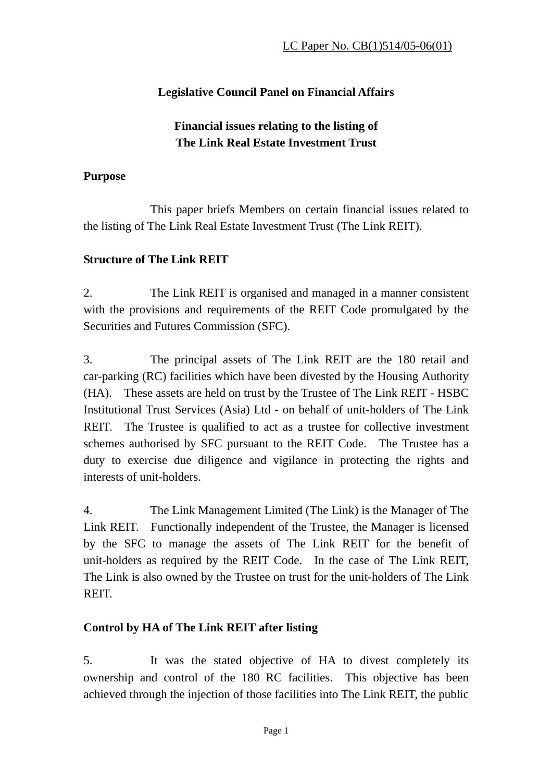# **Legislative Council Panel on Financial Affairs**

# **Financial issues relating to the listing of The Link Real Estate Investment Trust**

#### **Purpose**

 This paper briefs Members on certain financial issues related to the listing of The Link Real Estate Investment Trust (The Link REIT).

## **Structure of The Link REIT**

2. The Link REIT is organised and managed in a manner consistent with the provisions and requirements of the REIT Code promulgated by the Securities and Futures Commission (SFC).

3. The principal assets of The Link REIT are the 180 retail and car-parking (RC) facilities which have been divested by the Housing Authority (HA). These assets are held on trust by the Trustee of The Link REIT - HSBC Institutional Trust Services (Asia) Ltd - on behalf of unit-holders of The Link REIT. The Trustee is qualified to act as a trustee for collective investment schemes authorised by SFC pursuant to the REIT Code. The Trustee has a duty to exercise due diligence and vigilance in protecting the rights and interests of unit-holders.

4. The Link Management Limited (The Link) is the Manager of The Link REIT. Functionally independent of the Trustee, the Manager is licensed by the SFC to manage the assets of The Link REIT for the benefit of unit-holders as required by the REIT Code. In the case of The Link REIT, The Link is also owned by the Trustee on trust for the unit-holders of The Link REIT.

## **Control by HA of The Link REIT after listing**

5. It was the stated objective of HA to divest completely its ownership and control of the 180 RC facilities. This objective has been achieved through the injection of those facilities into The Link REIT, the public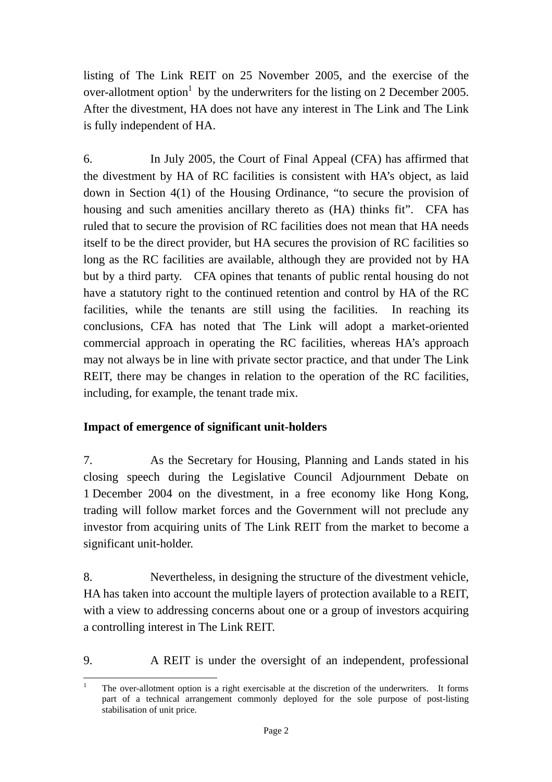listing of The Link REIT on 25 November 2005, and the exercise of the over-allotment option<sup>1</sup> by the underwriters for the listing on 2 December 2005. After the divestment, HA does not have any interest in The Link and The Link is fully independent of HA.

6. In July 2005, the Court of Final Appeal (CFA) has affirmed that the divestment by HA of RC facilities is consistent with HA's object, as laid down in Section 4(1) of the Housing Ordinance, "to secure the provision of housing and such amenities ancillary thereto as (HA) thinks fit". CFA has ruled that to secure the provision of RC facilities does not mean that HA needs itself to be the direct provider, but HA secures the provision of RC facilities so long as the RC facilities are available, although they are provided not by HA but by a third party. CFA opines that tenants of public rental housing do not have a statutory right to the continued retention and control by HA of the RC facilities, while the tenants are still using the facilities. In reaching its conclusions, CFA has noted that The Link will adopt a market-oriented commercial approach in operating the RC facilities, whereas HA's approach may not always be in line with private sector practice, and that under The Link REIT, there may be changes in relation to the operation of the RC facilities, including, for example, the tenant trade mix.

#### **Impact of emergence of significant unit-holders**

7. As the Secretary for Housing, Planning and Lands stated in his closing speech during the Legislative Council Adjournment Debate on 1 December 2004 on the divestment, in a free economy like Hong Kong, trading will follow market forces and the Government will not preclude any investor from acquiring units of The Link REIT from the market to become a significant unit-holder.

8. Nevertheless, in designing the structure of the divestment vehicle, HA has taken into account the multiple layers of protection available to a REIT, with a view to addressing concerns about one or a group of investors acquiring a controlling interest in The Link REIT.

9. A REIT is under the oversight of an independent, professional

 $\frac{1}{1}$  The over-allotment option is a right exercisable at the discretion of the underwriters. It forms part of a technical arrangement commonly deployed for the sole purpose of post-listing stabilisation of unit price.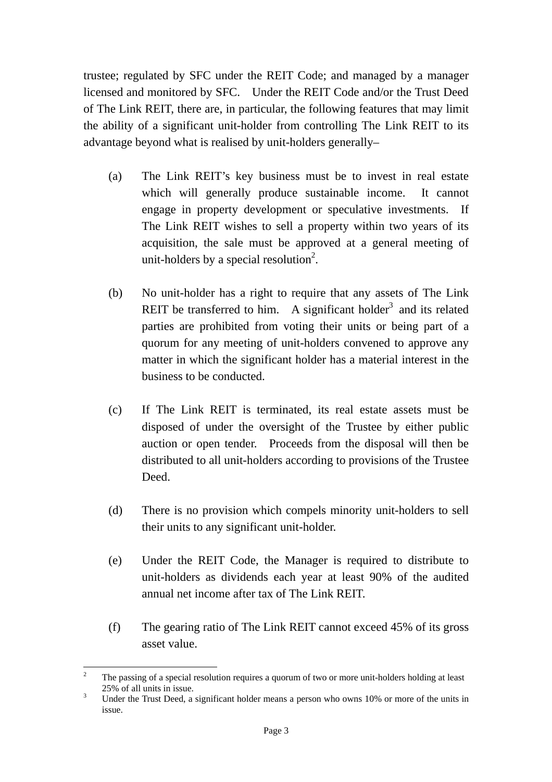trustee; regulated by SFC under the REIT Code; and managed by a manager licensed and monitored by SFC. Under the REIT Code and/or the Trust Deed of The Link REIT, there are, in particular, the following features that may limit the ability of a significant unit-holder from controlling The Link REIT to its advantage beyond what is realised by unit-holders generally–

- (a) The Link REIT's key business must be to invest in real estate which will generally produce sustainable income. It cannot engage in property development or speculative investments. If The Link REIT wishes to sell a property within two years of its acquisition, the sale must be approved at a general meeting of unit-holders by a special resolution<sup>2</sup>.
- (b) No unit-holder has a right to require that any assets of The Link REIT be transferred to him. A significant holder<sup>3</sup> and its related parties are prohibited from voting their units or being part of a quorum for any meeting of unit-holders convened to approve any matter in which the significant holder has a material interest in the business to be conducted.
- (c) If The Link REIT is terminated, its real estate assets must be disposed of under the oversight of the Trustee by either public auction or open tender. Proceeds from the disposal will then be distributed to all unit-holders according to provisions of the Trustee Deed.
- (d) There is no provision which compels minority unit-holders to sell their units to any significant unit-holder.
- (e) Under the REIT Code, the Manager is required to distribute to unit-holders as dividends each year at least 90% of the audited annual net income after tax of The Link REIT.
- (f) The gearing ratio of The Link REIT cannot exceed 45% of its gross asset value.

 $\frac{1}{2}$  The passing of a special resolution requires a quorum of two or more unit-holders holding at least  $25\%$  of all units in issue.

Under the Trust Deed, a significant holder means a person who owns 10% or more of the units in issue.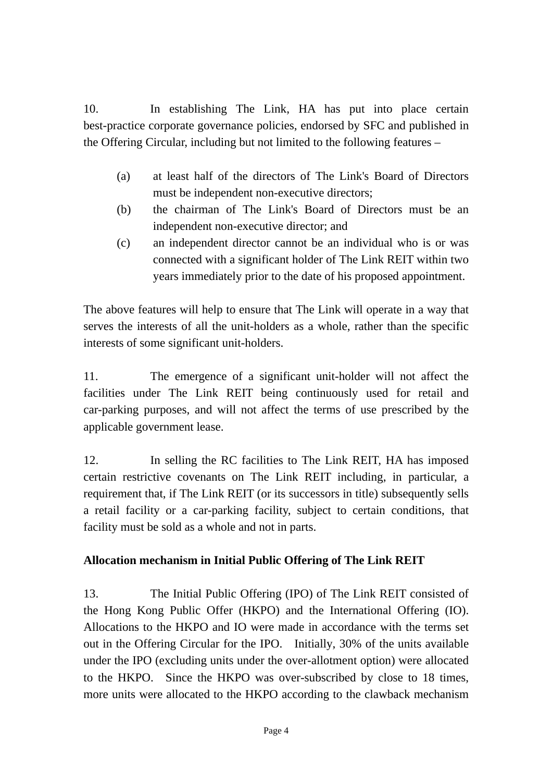10. In establishing The Link, HA has put into place certain best-practice corporate governance policies, endorsed by SFC and published in the Offering Circular, including but not limited to the following features –

- (a) at least half of the directors of The Link's Board of Directors must be independent non-executive directors;
- (b) the chairman of The Link's Board of Directors must be an independent non-executive director; and
- (c) an independent director cannot be an individual who is or was connected with a significant holder of The Link REIT within two years immediately prior to the date of his proposed appointment.

The above features will help to ensure that The Link will operate in a way that serves the interests of all the unit-holders as a whole, rather than the specific interests of some significant unit-holders.

11. The emergence of a significant unit-holder will not affect the facilities under The Link REIT being continuously used for retail and car-parking purposes, and will not affect the terms of use prescribed by the applicable government lease.

12. In selling the RC facilities to The Link REIT, HA has imposed certain restrictive covenants on The Link REIT including, in particular, a requirement that, if The Link REIT (or its successors in title) subsequently sells a retail facility or a car-parking facility, subject to certain conditions, that facility must be sold as a whole and not in parts.

#### **Allocation mechanism in Initial Public Offering of The Link REIT**

13. The Initial Public Offering (IPO) of The Link REIT consisted of the Hong Kong Public Offer (HKPO) and the International Offering (IO). Allocations to the HKPO and IO were made in accordance with the terms set out in the Offering Circular for the IPO. Initially, 30% of the units available under the IPO (excluding units under the over-allotment option) were allocated to the HKPO. Since the HKPO was over-subscribed by close to 18 times, more units were allocated to the HKPO according to the clawback mechanism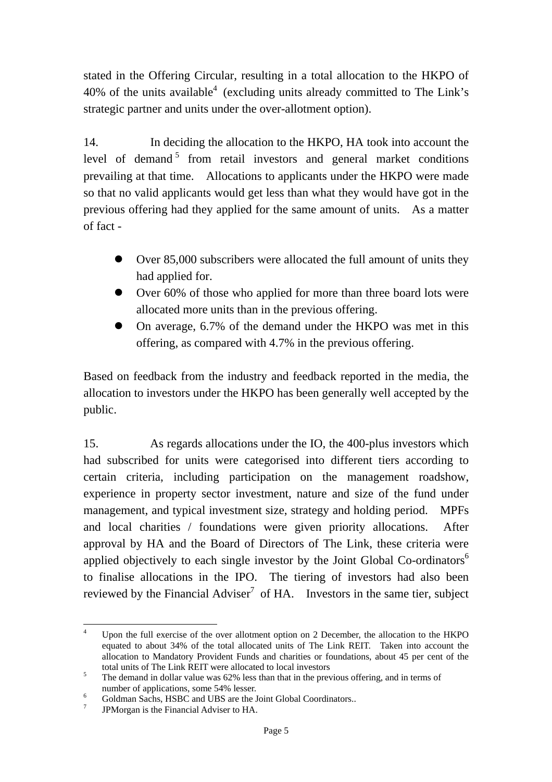stated in the Offering Circular, resulting in a total allocation to the HKPO of 40% of the units available<sup>4</sup> (excluding units already committed to The Link's strategic partner and units under the over-allotment option).

14. In deciding the allocation to the HKPO, HA took into account the level of demand<sup>5</sup> from retail investors and general market conditions prevailing at that time. Allocations to applicants under the HKPO were made so that no valid applicants would get less than what they would have got in the previous offering had they applied for the same amount of units. As a matter of fact -

- $\bullet$  Over 85,000 subscribers were allocated the full amount of units they had applied for.
- Over 60% of those who applied for more than three board lots were allocated more units than in the previous offering.
- On average, 6.7% of the demand under the HKPO was met in this offering, as compared with 4.7% in the previous offering.

Based on feedback from the industry and feedback reported in the media, the allocation to investors under the HKPO has been generally well accepted by the public.

15. As regards allocations under the IO, the 400-plus investors which had subscribed for units were categorised into different tiers according to certain criteria, including participation on the management roadshow, experience in property sector investment, nature and size of the fund under management, and typical investment size, strategy and holding period. MPFs and local charities / foundations were given priority allocations. After approval by HA and the Board of Directors of The Link, these criteria were applied objectively to each single investor by the Joint Global Co-ordinators<sup>6</sup> to finalise allocations in the IPO. The tiering of investors had also been reviewed by the Financial Adviser<sup>7</sup> of HA. Investors in the same tier, subject

 $\frac{1}{4}$  Upon the full exercise of the over allotment option on 2 December, the allocation to the HKPO equated to about 34% of the total allocated units of The Link REIT. Taken into account the allocation to Mandatory Provident Funds and charities or foundations, about 45 per cent of the total units of The Link REIT were allocated to local investors  $\frac{5}{\sqrt{2}}$ . The demand in dellar value wee  $\frac{620}{\sqrt{2}}$  less than that in the grey

The demand in dollar value was 62% less than that in the previous offering, and in terms of number of applications, some 54% lesser.

Goldman Sachs, HSBC and UBS are the Joint Global Coordinators..

<sup>7</sup> JPMorgan is the Financial Adviser to HA.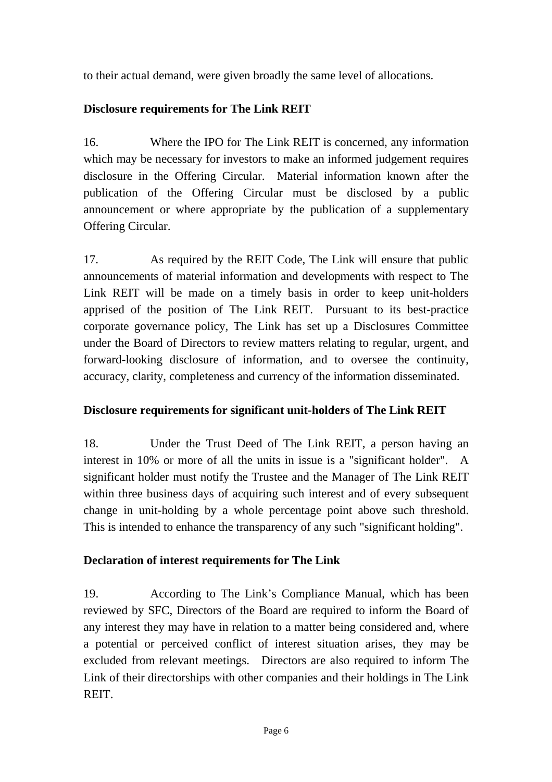to their actual demand, were given broadly the same level of allocations.

## **Disclosure requirements for The Link REIT**

16. Where the IPO for The Link REIT is concerned, any information which may be necessary for investors to make an informed judgement requires disclosure in the Offering Circular. Material information known after the publication of the Offering Circular must be disclosed by a public announcement or where appropriate by the publication of a supplementary Offering Circular.

17. As required by the REIT Code, The Link will ensure that public announcements of material information and developments with respect to The Link REIT will be made on a timely basis in order to keep unit-holders apprised of the position of The Link REIT. Pursuant to its best-practice corporate governance policy, The Link has set up a Disclosures Committee under the Board of Directors to review matters relating to regular, urgent, and forward-looking disclosure of information, and to oversee the continuity, accuracy, clarity, completeness and currency of the information disseminated.

#### **Disclosure requirements for significant unit-holders of The Link REIT**

18. Under the Trust Deed of The Link REIT, a person having an interest in 10% or more of all the units in issue is a "significant holder". A significant holder must notify the Trustee and the Manager of The Link REIT within three business days of acquiring such interest and of every subsequent change in unit-holding by a whole percentage point above such threshold. This is intended to enhance the transparency of any such "significant holding".

## **Declaration of interest requirements for The Link**

19. According to The Link's Compliance Manual, which has been reviewed by SFC, Directors of the Board are required to inform the Board of any interest they may have in relation to a matter being considered and, where a potential or perceived conflict of interest situation arises, they may be excluded from relevant meetings. Directors are also required to inform The Link of their directorships with other companies and their holdings in The Link REIT.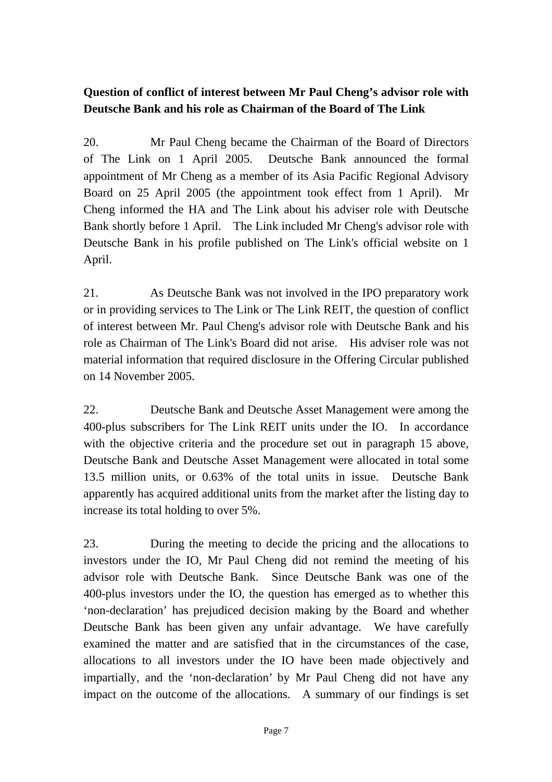# **Question of conflict of interest between Mr Paul Cheng's advisor role with Deutsche Bank and his role as Chairman of the Board of The Link**

20. Mr Paul Cheng became the Chairman of the Board of Directors of The Link on 1 April 2005. Deutsche Bank announced the formal appointment of Mr Cheng as a member of its Asia Pacific Regional Advisory Board on 25 April 2005 (the appointment took effect from 1 April). Mr Cheng informed the HA and The Link about his adviser role with Deutsche Bank shortly before 1 April. The Link included Mr Cheng's advisor role with Deutsche Bank in his profile published on The Link's official website on 1 April.

21. As Deutsche Bank was not involved in the IPO preparatory work or in providing services to The Link or The Link REIT, the question of conflict of interest between Mr. Paul Cheng's advisor role with Deutsche Bank and his role as Chairman of The Link's Board did not arise. His adviser role was not material information that required disclosure in the Offering Circular published on 14 November 2005.

22. Deutsche Bank and Deutsche Asset Management were among the 400-plus subscribers for The Link REIT units under the IO. In accordance with the objective criteria and the procedure set out in paragraph 15 above, Deutsche Bank and Deutsche Asset Management were allocated in total some 13.5 million units, or 0.63% of the total units in issue. Deutsche Bank apparently has acquired additional units from the market after the listing day to increase its total holding to over 5%.

23. During the meeting to decide the pricing and the allocations to investors under the IO, Mr Paul Cheng did not remind the meeting of his advisor role with Deutsche Bank. Since Deutsche Bank was one of the 400-plus investors under the IO, the question has emerged as to whether this 'non-declaration' has prejudiced decision making by the Board and whether Deutsche Bank has been given any unfair advantage. We have carefully examined the matter and are satisfied that in the circumstances of the case, allocations to all investors under the IO have been made objectively and impartially, and the 'non-declaration' by Mr Paul Cheng did not have any impact on the outcome of the allocations. A summary of our findings is set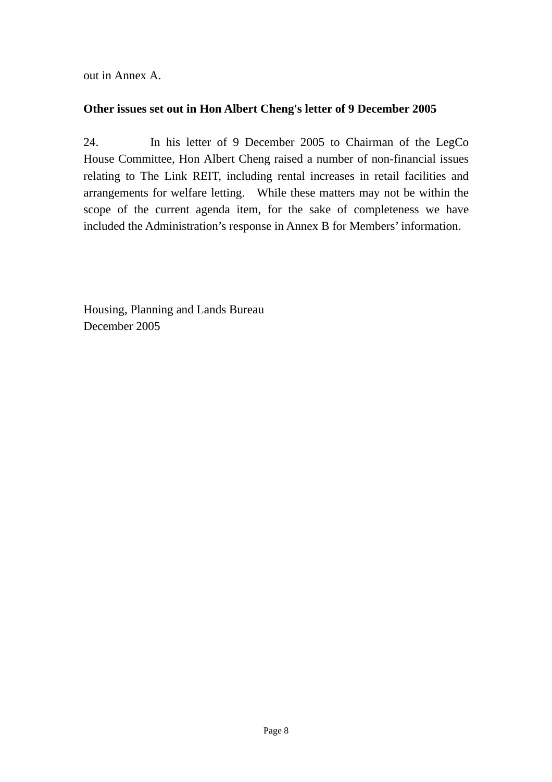out in Annex A.

#### **Other issues set out in Hon Albert Cheng's letter of 9 December 2005**

24. In his letter of 9 December 2005 to Chairman of the LegCo House Committee, Hon Albert Cheng raised a number of non-financial issues relating to The Link REIT, including rental increases in retail facilities and arrangements for welfare letting. While these matters may not be within the scope of the current agenda item, for the sake of completeness we have included the Administration's response in Annex B for Members' information.

Housing, Planning and Lands Bureau December 2005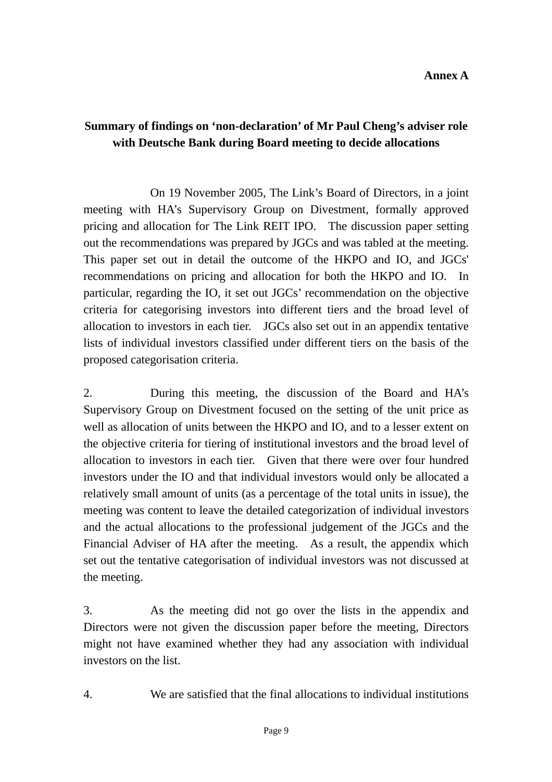# **Summary of findings on 'non-declaration' of Mr Paul Cheng's adviser role with Deutsche Bank during Board meeting to decide allocations**

 On 19 November 2005, The Link's Board of Directors, in a joint meeting with HA's Supervisory Group on Divestment, formally approved pricing and allocation for The Link REIT IPO. The discussion paper setting out the recommendations was prepared by JGCs and was tabled at the meeting. This paper set out in detail the outcome of the HKPO and IO, and JGCs' recommendations on pricing and allocation for both the HKPO and IO. In particular, regarding the IO, it set out JGCs' recommendation on the objective criteria for categorising investors into different tiers and the broad level of allocation to investors in each tier. JGCs also set out in an appendix tentative lists of individual investors classified under different tiers on the basis of the proposed categorisation criteria.

2. During this meeting, the discussion of the Board and HA's Supervisory Group on Divestment focused on the setting of the unit price as well as allocation of units between the HKPO and IO, and to a lesser extent on the objective criteria for tiering of institutional investors and the broad level of allocation to investors in each tier. Given that there were over four hundred investors under the IO and that individual investors would only be allocated a relatively small amount of units (as a percentage of the total units in issue), the meeting was content to leave the detailed categorization of individual investors and the actual allocations to the professional judgement of the JGCs and the Financial Adviser of HA after the meeting. As a result, the appendix which set out the tentative categorisation of individual investors was not discussed at the meeting.

3. As the meeting did not go over the lists in the appendix and Directors were not given the discussion paper before the meeting, Directors might not have examined whether they had any association with individual investors on the list.

4. We are satisfied that the final allocations to individual institutions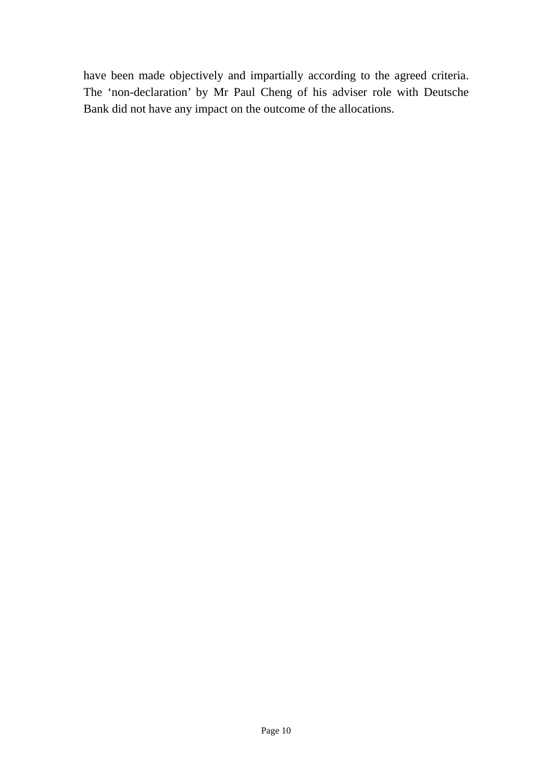have been made objectively and impartially according to the agreed criteria. The 'non-declaration' by Mr Paul Cheng of his adviser role with Deutsche Bank did not have any impact on the outcome of the allocations.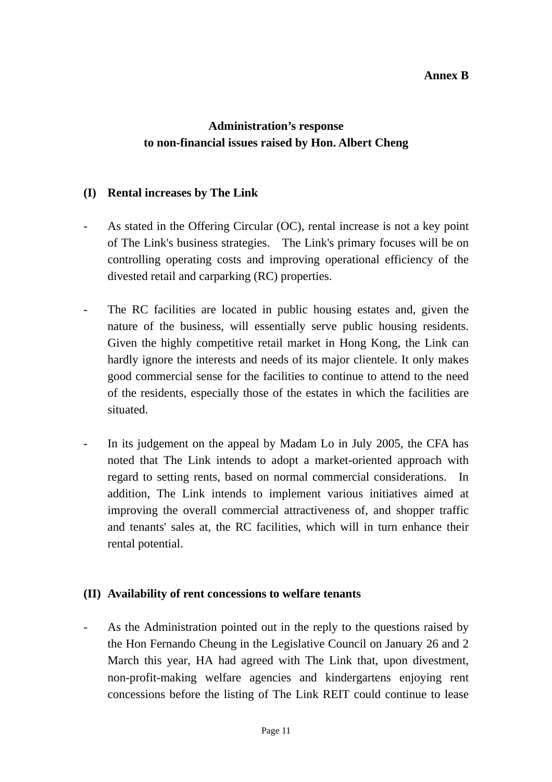#### **Annex B**

# **Administration's response to non-financial issues raised by Hon. Albert Cheng**

#### **(I) Rental increases by The Link**

- As stated in the Offering Circular (OC), rental increase is not a key point of The Link's business strategies. The Link's primary focuses will be on controlling operating costs and improving operational efficiency of the divested retail and carparking (RC) properties.
- The RC facilities are located in public housing estates and, given the nature of the business, will essentially serve public housing residents. Given the highly competitive retail market in Hong Kong, the Link can hardly ignore the interests and needs of its major clientele. It only makes good commercial sense for the facilities to continue to attend to the need of the residents, especially those of the estates in which the facilities are situated.
- In its judgement on the appeal by Madam Lo in July 2005, the CFA has noted that The Link intends to adopt a market-oriented approach with regard to setting rents, based on normal commercial considerations. In addition, The Link intends to implement various initiatives aimed at improving the overall commercial attractiveness of, and shopper traffic and tenants' sales at, the RC facilities, which will in turn enhance their rental potential.

#### **(II) Availability of rent concessions to welfare tenants**

As the Administration pointed out in the reply to the questions raised by the Hon Fernando Cheung in the Legislative Council on January 26 and 2 March this year, HA had agreed with The Link that, upon divestment, non-profit-making welfare agencies and kindergartens enjoying rent concessions before the listing of The Link REIT could continue to lease